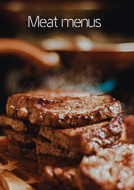# Meat menus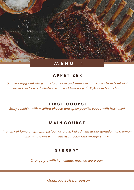

Smoked eggplant dip with feta cheese and sun-dried tomatoes from Santorini served on toasted wholegrain bread topped with Mykonian Louza ham

## **FIRST COURSE**

Baby zucchini with mizithra cheese and spicy paprika sauce with fresh mint

## **MAIN COURSE**

French cut lamb chops with pistachios crust, baked with apple geranium and lemon thyme. Served with fresh asparagus and orange sauce

# **DESSERT**

Orange pie with homemade mastica ice cream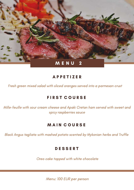

Fresh green mixed salad with sliced oranges served into a parmesan crust

# **FIRST COURSE**

Mille-feuille with sour cream cheese and Apaki Cretan ham served with sweet and spicy raspberries sauce

## **MAIN COURSE**

Black Angus tagliata with mashed potato scented by Mykonian herbs and Truffle

#### **DESSERT**

Oreo cake topped with white chocolate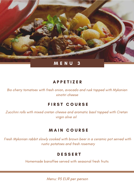

Bio cherry tomatoes with fresh onion, avocado and rusk topped with Mykonian xinotiri cheese

# **FIRST COURSE**

Zucchini rolls with mixed cretan cheese and aromatic basil topped with Cretan virgin olive oil

## **MAIN COURSE**

Fresh Mykonian rabbit slowly cooked with brown beer in a ceramic pot served with rustic potatoes and fresh rosemary

## **DESSERT**

Homemade banoffee served with seasonal fresh fruits

Menu: 95 EUR per person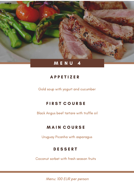

Gold soup with yogurt and cucumber

# FIRST COURSE

Black Angus beef tartare with truffle oil

# **MAIN COURSE**

Uruguay Picanha with asparagus

# **DESSERT**

Coconut sorbet with fresh season fruits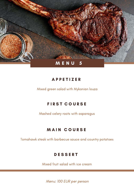

Mixed green salad with Mykonian louza

# **FIRST COURSE**

Mashed celery roots with asparagus

# **MAIN COURSE**

Tomahawk steak with barbecue sauce and country potatoes

# **DESSERT**

Mixed fruit salad with ice cream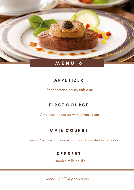

Beef carpaccio with truffle oil

# **FIRST COURSE**

Artichokes fricassee with lemon sauce

# **MAIN COURSE**

Tournedos Rossini with madeira sauce and roasted vegetables

# **DESSERT**

Pistachio mille-feuille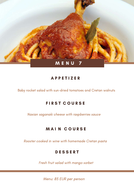

Baby rocket salad with sun-dried tomatoes and Cretan walnuts

# **FIRST COURSE**

Naxian saganaki cheese with raspberries sauce

## **MAIN COURSE**

Rooster cooked in wine with homemade Cretan pasta

#### **DESSERT**

Fresh fruit salad with mango sorbet

Menu: 85 EUR per person